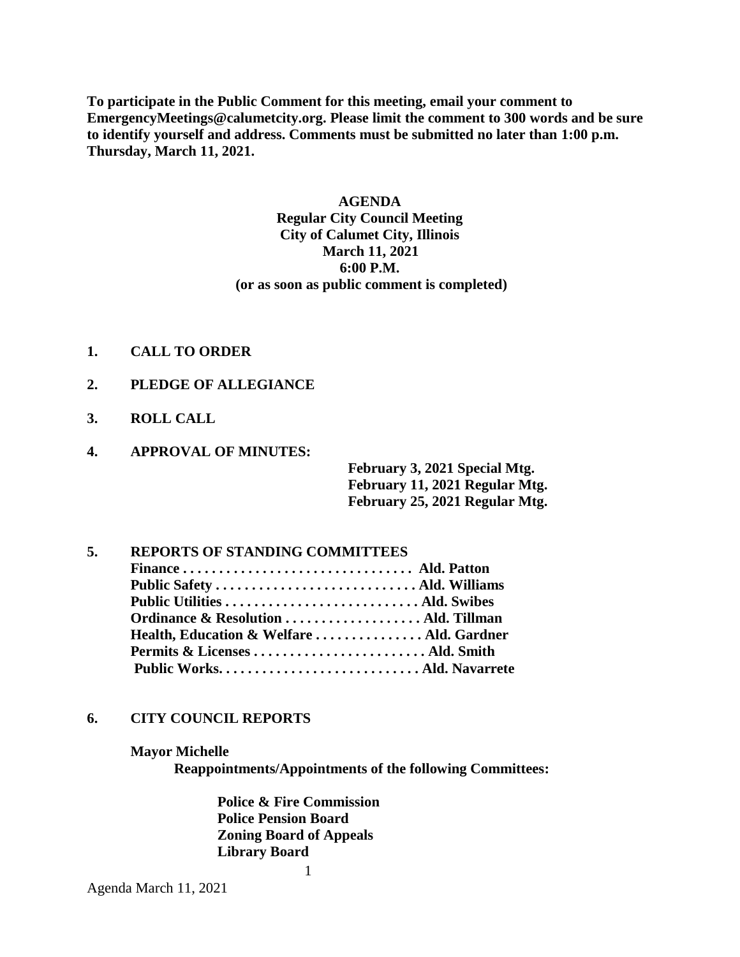**To participate in the Public Comment for this meeting, email your comment to EmergencyMeetings@calumetcity.org. Please limit the comment to 300 words and be sure to identify yourself and address. Comments must be submitted no later than 1:00 p.m. Thursday, March 11, 2021.**

# **AGENDA Regular City Council Meeting City of Calumet City, Illinois March 11, 2021 6:00 P.M. (or as soon as public comment is completed)**

- **1. CALL TO ORDER**
- **2. PLEDGE OF ALLEGIANCE**
- **3. ROLL CALL**
- **4. APPROVAL OF MINUTES:**

**February 3, 2021 Special Mtg. February 11, 2021 Regular Mtg. February 25, 2021 Regular Mtg.**

# **5. REPORTS OF STANDING COMMITTEES Finance . . . . . . . . . . . . . . . . . . . . . . . . . . . . . . . . Ald. Patton Public Safety . . . . . . . . . . . . . . . . . . . . . . . . . . . . Ald. Williams Public Utilities . . . . . . . . . . . . . . . . . . . . . . . . . . . Ald. Swibes Ordinance & Resolution . . . . . . . . . . . . . . . . . . . Ald. Tillman Health, Education & Welfare . . . . . . . . . . . . . . . Ald. Gardner Permits & Licenses . . . . . . . . . . . . . . . . . . . . . . . . Ald. Smith Public Works. . . . . . . . . . . . . . . . . . . . . . . . . . . . Ald. Navarrete**

### **6. CITY COUNCIL REPORTS**

#### **Mayor Michelle**

**Reappointments/Appointments of the following Committees:**

**Police & Fire Commission Police Pension Board Zoning Board of Appeals Library Board**

1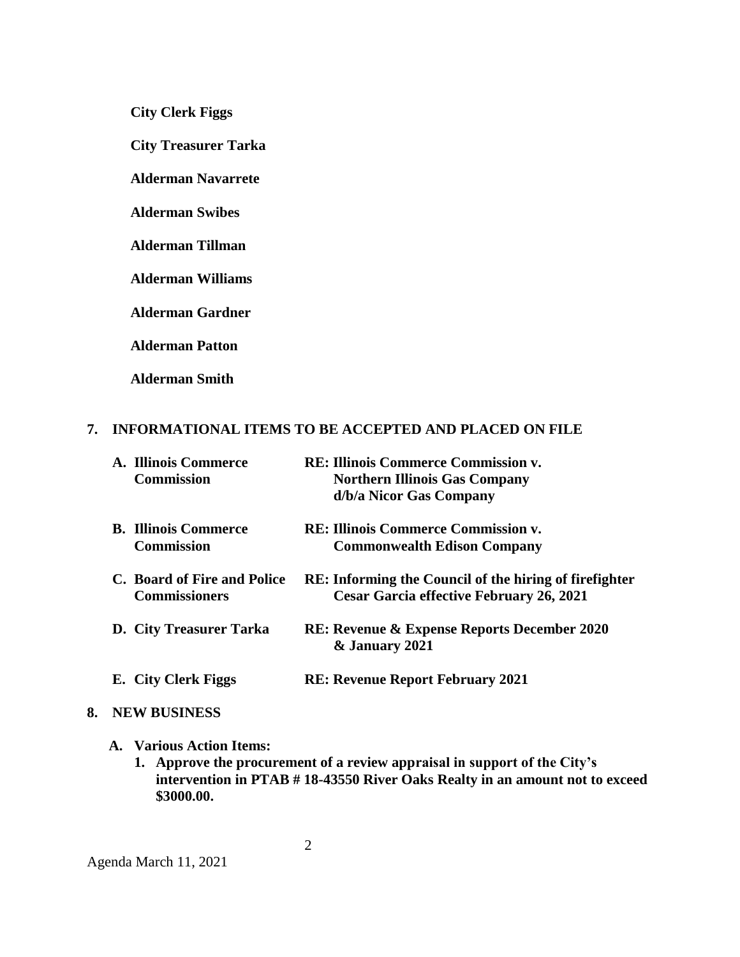**City Clerk Figgs**

 **City Treasurer Tarka**

**Alderman Navarrete**

**Alderman Swibes**

**Alderman Tillman**

**Alderman Williams**

**Alderman Gardner**

**Alderman Patton**

**Alderman Smith**

#### **7. INFORMATIONAL ITEMS TO BE ACCEPTED AND PLACED ON FILE**

| A. Illinois Commerce<br><b>Commission</b>           | RE: Illinois Commerce Commission v.<br><b>Northern Illinois Gas Company</b><br>d/b/a Nicor Gas Company    |
|-----------------------------------------------------|-----------------------------------------------------------------------------------------------------------|
| <b>B.</b> Illinois Commerce<br><b>Commission</b>    | <b>RE: Illinois Commerce Commission v.</b><br><b>Commonwealth Edison Company</b>                          |
| C. Board of Fire and Police<br><b>Commissioners</b> | <b>RE:</b> Informing the Council of the hiring of firefighter<br>Cesar Garcia effective February 26, 2021 |
| <b>D.</b> City Treasurer Tarka                      | <b>RE: Revenue &amp; Expense Reports December 2020</b><br>& January 2021                                  |
| E. City Clerk Figgs                                 | <b>RE: Revenue Report February 2021</b>                                                                   |

### **8. NEW BUSINESS**

## **A. Various Action Items:**

**1. Approve the procurement of a review appraisal in support of the City's intervention in PTAB # 18-43550 River Oaks Realty in an amount not to exceed \$3000.00.**

Agenda March 11, 2021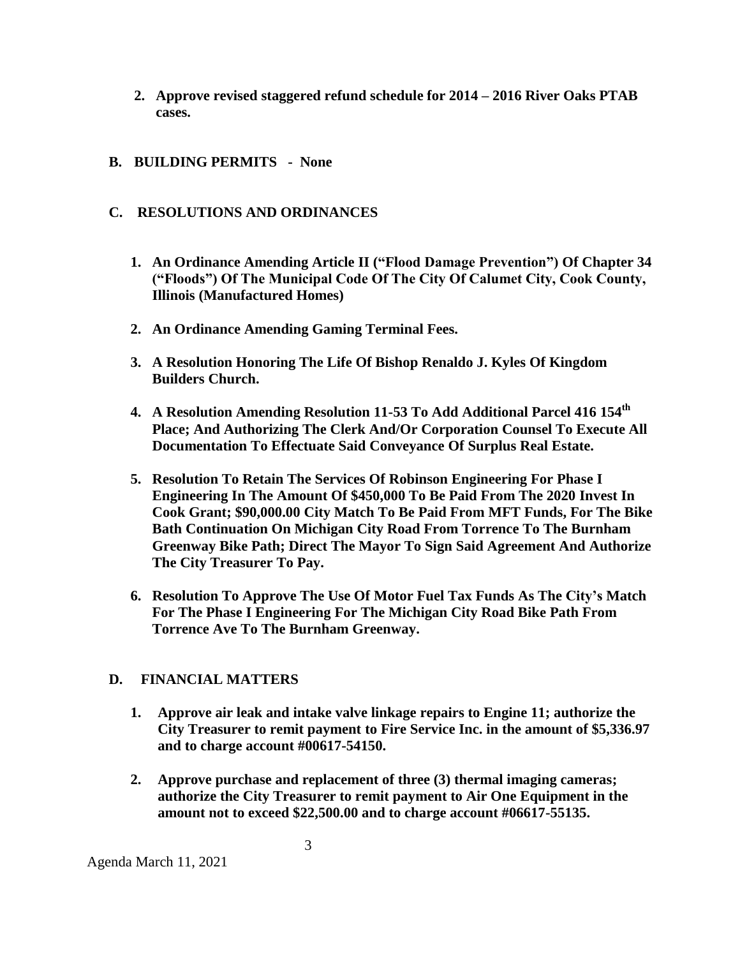**2. Approve revised staggered refund schedule for 2014 – 2016 River Oaks PTAB cases.**

# **B. BUILDING PERMITS - None**

## **C. RESOLUTIONS AND ORDINANCES**

- **1. An Ordinance Amending Article II ("Flood Damage Prevention") Of Chapter 34 ("Floods") Of The Municipal Code Of The City Of Calumet City, Cook County, Illinois (Manufactured Homes)**
- **2. An Ordinance Amending Gaming Terminal Fees.**
- **3. A Resolution Honoring The Life Of Bishop Renaldo J. Kyles Of Kingdom Builders Church.**
- **4. A Resolution Amending Resolution 11-53 To Add Additional Parcel 416 154th Place; And Authorizing The Clerk And/Or Corporation Counsel To Execute All Documentation To Effectuate Said Conveyance Of Surplus Real Estate.**
- **5. Resolution To Retain The Services Of Robinson Engineering For Phase I Engineering In The Amount Of \$450,000 To Be Paid From The 2020 Invest In Cook Grant; \$90,000.00 City Match To Be Paid From MFT Funds, For The Bike Bath Continuation On Michigan City Road From Torrence To The Burnham Greenway Bike Path; Direct The Mayor To Sign Said Agreement And Authorize The City Treasurer To Pay.**
- **6. Resolution To Approve The Use Of Motor Fuel Tax Funds As The City's Match For The Phase I Engineering For The Michigan City Road Bike Path From Torrence Ave To The Burnham Greenway.**

### **D. FINANCIAL MATTERS**

- **1. Approve air leak and intake valve linkage repairs to Engine 11; authorize the City Treasurer to remit payment to Fire Service Inc. in the amount of \$5,336.97 and to charge account #00617-54150.**
- **2. Approve purchase and replacement of three (3) thermal imaging cameras; authorize the City Treasurer to remit payment to Air One Equipment in the amount not to exceed \$22,500.00 and to charge account #06617-55135.**

Agenda March 11, 2021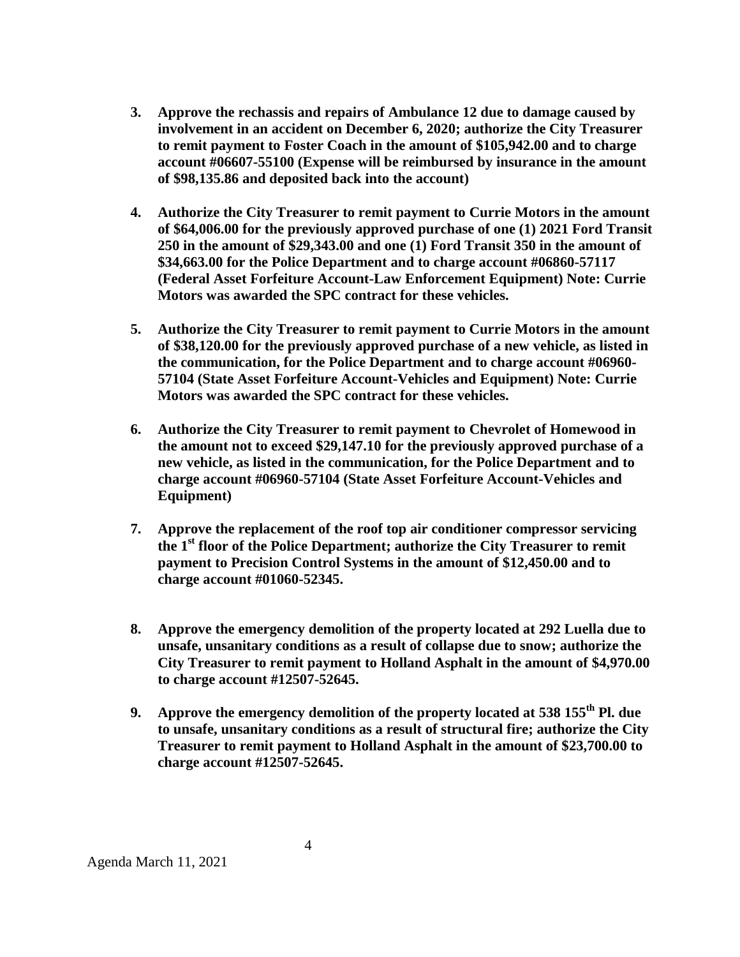- **3. Approve the rechassis and repairs of Ambulance 12 due to damage caused by involvement in an accident on December 6, 2020; authorize the City Treasurer to remit payment to Foster Coach in the amount of \$105,942.00 and to charge account #06607-55100 (Expense will be reimbursed by insurance in the amount of \$98,135.86 and deposited back into the account)**
- **4. Authorize the City Treasurer to remit payment to Currie Motors in the amount of \$64,006.00 for the previously approved purchase of one (1) 2021 Ford Transit 250 in the amount of \$29,343.00 and one (1) Ford Transit 350 in the amount of \$34,663.00 for the Police Department and to charge account #06860-57117 (Federal Asset Forfeiture Account-Law Enforcement Equipment) Note: Currie Motors was awarded the SPC contract for these vehicles.**
- **5. Authorize the City Treasurer to remit payment to Currie Motors in the amount of \$38,120.00 for the previously approved purchase of a new vehicle, as listed in the communication, for the Police Department and to charge account #06960- 57104 (State Asset Forfeiture Account-Vehicles and Equipment) Note: Currie Motors was awarded the SPC contract for these vehicles.**
- **6. Authorize the City Treasurer to remit payment to Chevrolet of Homewood in the amount not to exceed \$29,147.10 for the previously approved purchase of a new vehicle, as listed in the communication, for the Police Department and to charge account #06960-57104 (State Asset Forfeiture Account-Vehicles and Equipment)**
- **7. Approve the replacement of the roof top air conditioner compressor servicing the 1st floor of the Police Department; authorize the City Treasurer to remit payment to Precision Control Systems in the amount of \$12,450.00 and to charge account #01060-52345.**
- **8. Approve the emergency demolition of the property located at 292 Luella due to unsafe, unsanitary conditions as a result of collapse due to snow; authorize the City Treasurer to remit payment to Holland Asphalt in the amount of \$4,970.00 to charge account #12507-52645.**
- **9. Approve the emergency demolition of the property located at 538 155th Pl. due to unsafe, unsanitary conditions as a result of structural fire; authorize the City Treasurer to remit payment to Holland Asphalt in the amount of \$23,700.00 to charge account #12507-52645.**